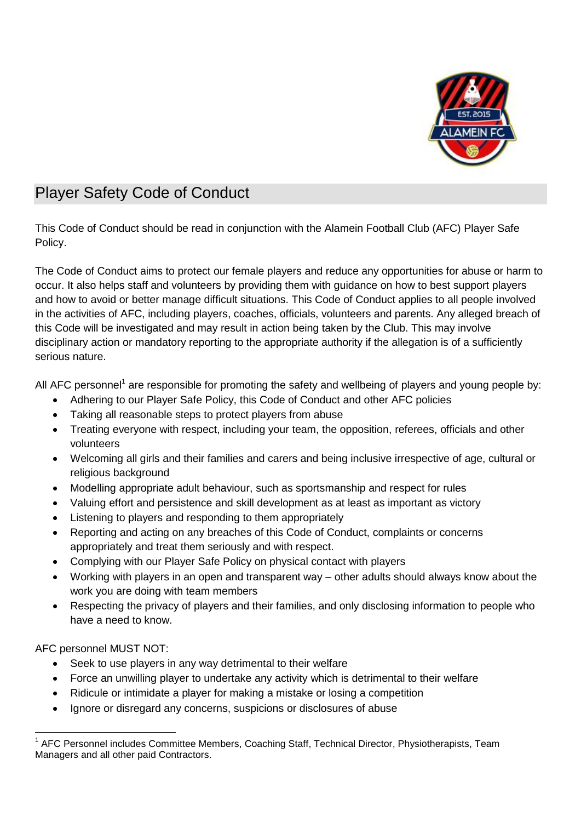

## Player Safety Code of Conduct

This Code of Conduct should be read in conjunction with the Alamein Football Club (AFC) Player Safe Policy.

The Code of Conduct aims to protect our female players and reduce any opportunities for abuse or harm to occur. It also helps staff and volunteers by providing them with guidance on how to best support players and how to avoid or better manage difficult situations. This Code of Conduct applies to all people involved in the activities of AFC, including players, coaches, officials, volunteers and parents. Any alleged breach of this Code will be investigated and may result in action being taken by the Club. This may involve disciplinary action or mandatory reporting to the appropriate authority if the allegation is of a sufficiently serious nature.

All AFC personnel<sup>1</sup> are responsible for promoting the safety and wellbeing of players and young people by:

- Adhering to our Player Safe Policy, this Code of Conduct and other AFC policies
- Taking all reasonable steps to protect players from abuse
- Treating everyone with respect, including your team, the opposition, referees, officials and other volunteers
- Welcoming all girls and their families and carers and being inclusive irrespective of age, cultural or religious background
- Modelling appropriate adult behaviour, such as sportsmanship and respect for rules
- Valuing effort and persistence and skill development as at least as important as victory
- Listening to players and responding to them appropriately
- Reporting and acting on any breaches of this Code of Conduct, complaints or concerns appropriately and treat them seriously and with respect.
- Complying with our Player Safe Policy on physical contact with players
- Working with players in an open and transparent way other adults should always know about the work you are doing with team members
- Respecting the privacy of players and their families, and only disclosing information to people who have a need to know.

AFC personnel MUST NOT:

- Seek to use players in any way detrimental to their welfare
- Force an unwilling player to undertake any activity which is detrimental to their welfare
- Ridicule or intimidate a player for making a mistake or losing a competition
- Ignore or disregard any concerns, suspicions or disclosures of abuse

<sup>1</sup> 1 AFC Personnel includes Committee Members, Coaching Staff, Technical Director, Physiotherapists, Team Managers and all other paid Contractors.